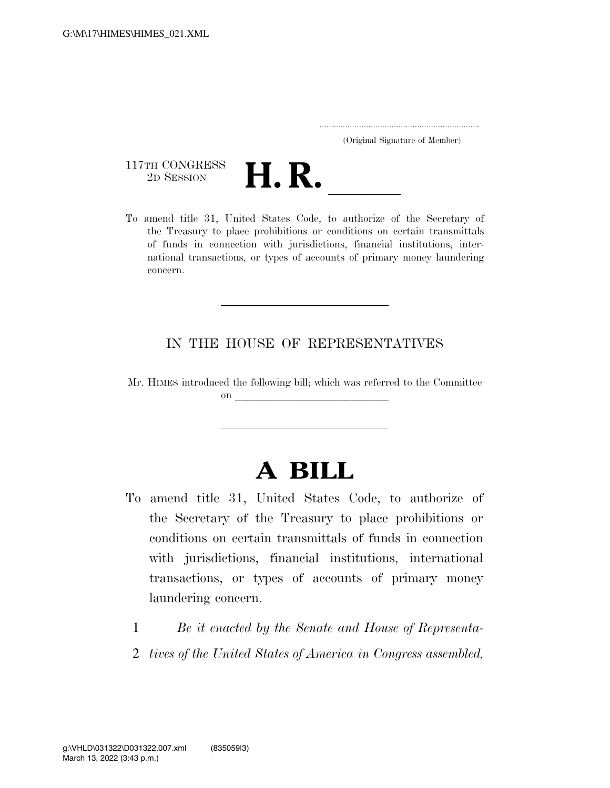..................................................................... (Original Signature of Member)

117TH CONGRESS<br>2D SESSION



117TH CONGRESS<br>
2D SESSION<br>
To amend title 31, United States Code, to authorize of the Secretary of the Treasury to place prohibitions or conditions on certain transmittals of funds in connection with jurisdictions, financial institutions, international transactions, or types of accounts of primary money laundering concern.

## IN THE HOUSE OF REPRESENTATIVES

Mr. HIMES introduced the following bill; which was referred to the Committee  $\mathbf{on}$ 

## **A BILL**

- To amend title 31, United States Code, to authorize of the Secretary of the Treasury to place prohibitions or conditions on certain transmittals of funds in connection with jurisdictions, financial institutions, international transactions, or types of accounts of primary money laundering concern.
	- 1 *Be it enacted by the Senate and House of Representa-*
	- 2 *tives of the United States of America in Congress assembled,*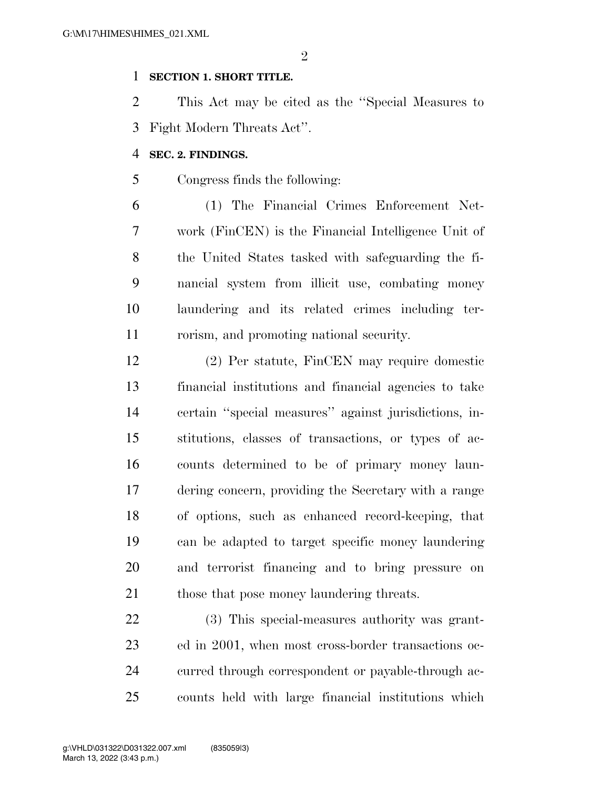$\mathfrak{D}$ 

## **SECTION 1. SHORT TITLE.**

 This Act may be cited as the ''Special Measures to Fight Modern Threats Act''.

## **SEC. 2. FINDINGS.**

Congress finds the following:

 (1) The Financial Crimes Enforcement Net- work (FinCEN) is the Financial Intelligence Unit of the United States tasked with safeguarding the fi- nancial system from illicit use, combating money laundering and its related crimes including ter-rorism, and promoting national security.

 (2) Per statute, FinCEN may require domestic financial institutions and financial agencies to take certain ''special measures'' against jurisdictions, in- stitutions, classes of transactions, or types of ac- counts determined to be of primary money laun- dering concern, providing the Secretary with a range of options, such as enhanced record-keeping, that can be adapted to target specific money laundering and terrorist financing and to bring pressure on 21 those that pose money laundering threats.

 (3) This special-measures authority was grant- ed in 2001, when most cross-border transactions oc- curred through correspondent or payable-through ac-counts held with large financial institutions which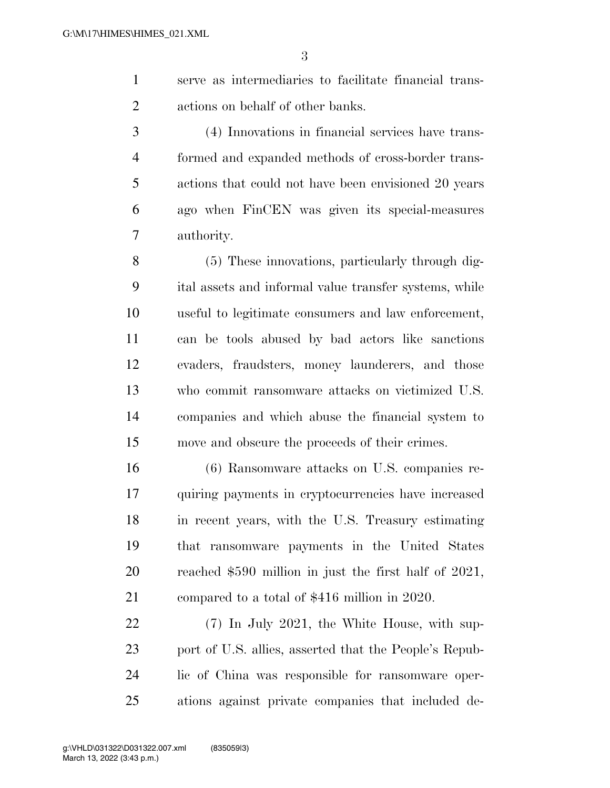serve as intermediaries to facilitate financial trans-actions on behalf of other banks.

 (4) Innovations in financial services have trans- formed and expanded methods of cross-border trans- actions that could not have been envisioned 20 years ago when FinCEN was given its special-measures authority.

 (5) These innovations, particularly through dig- ital assets and informal value transfer systems, while useful to legitimate consumers and law enforcement, can be tools abused by bad actors like sanctions evaders, fraudsters, money launderers, and those who commit ransomware attacks on victimized U.S. companies and which abuse the financial system to move and obscure the proceeds of their crimes.

 (6) Ransomware attacks on U.S. companies re- quiring payments in cryptocurrencies have increased in recent years, with the U.S. Treasury estimating that ransomware payments in the United States reached \$590 million in just the first half of 2021, compared to a total of \$416 million in 2020.

 (7) In July 2021, the White House, with sup- port of U.S. allies, asserted that the People's Repub- lic of China was responsible for ransomware oper-ations against private companies that included de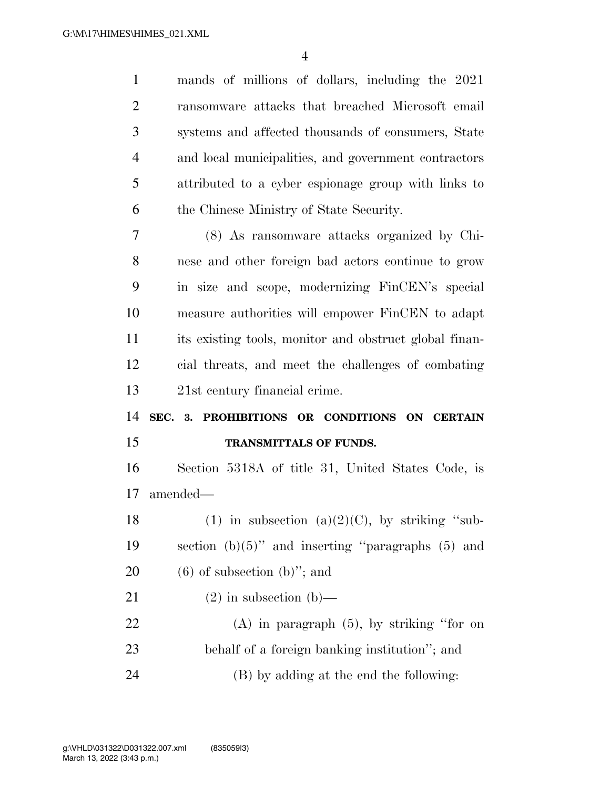mands of millions of dollars, including the 2021 ransomware attacks that breached Microsoft email systems and affected thousands of consumers, State and local municipalities, and government contractors attributed to a cyber espionage group with links to the Chinese Ministry of State Security. (8) As ransomware attacks organized by Chi- nese and other foreign bad actors continue to grow in size and scope, modernizing FinCEN's special measure authorities will empower FinCEN to adapt its existing tools, monitor and obstruct global finan- cial threats, and meet the challenges of combating 21st century financial crime. **SEC. 3. PROHIBITIONS OR CONDITIONS ON CERTAIN TRANSMITTALS OF FUNDS.**  Section 5318A of title 31, United States Code, is amended— 18 (1) in subsection (a)(2)(C), by striking "sub- section (b)(5)'' and inserting ''paragraphs (5) and  $(6)$  of subsection  $(b)$ "; and 21 (2) in subsection (b)— (A) in paragraph (5), by striking ''for on behalf of a foreign banking institution''; and (B) by adding at the end the following: